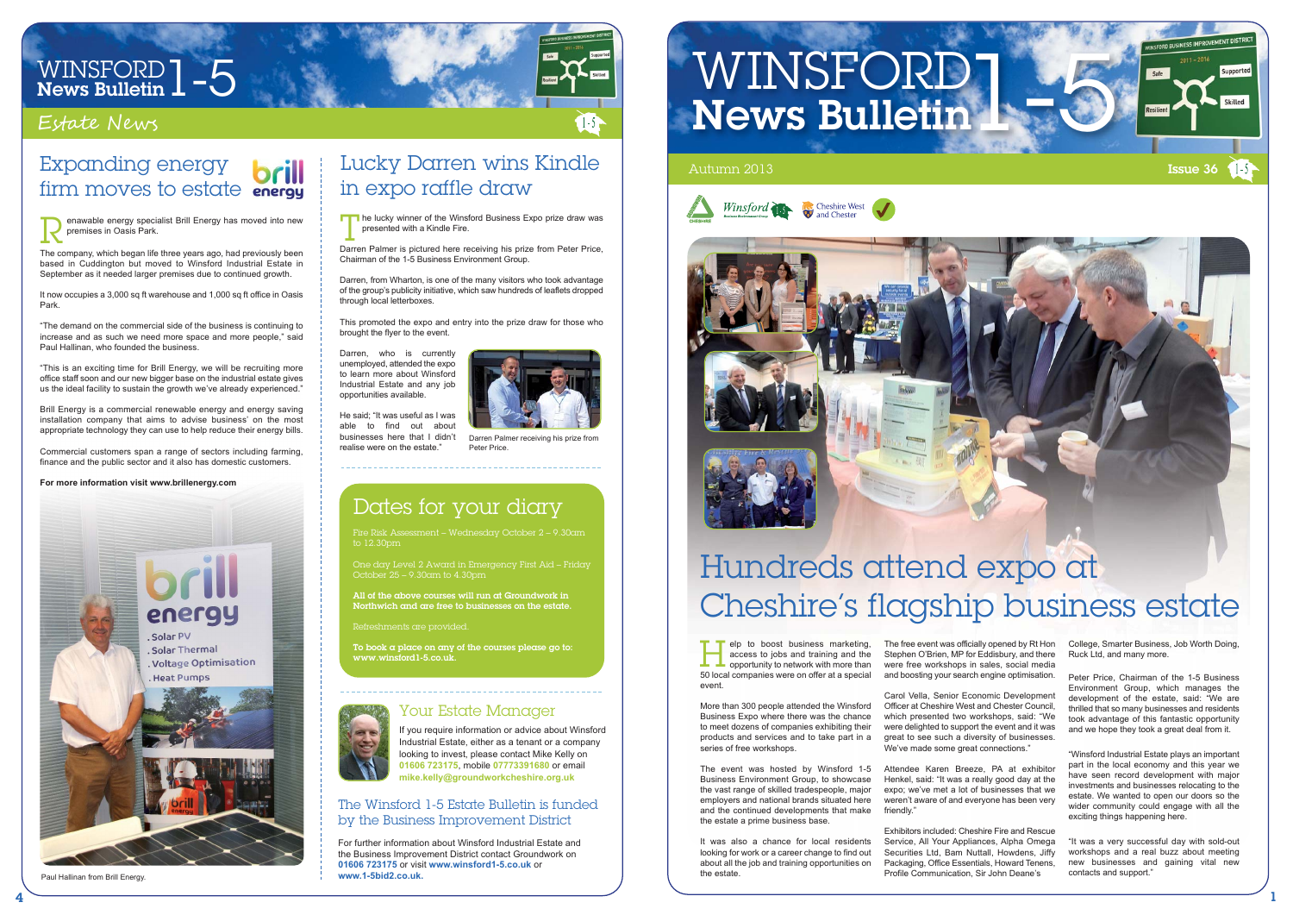

# WINSFORD  $1 - 5$ <br>News Bulletin  $1 - 5$

### Estate News

The Winsford 1-5 Estate Bulletin is funded by the Business Improvement District

For further information about Winsford Industrial Estate and the Business Improvement District contact Groundwork on **01606 723175** or visit **www.winsford1-5.co.uk** or **www.1-5bid2.co.uk.**

## WINSFORD<sup>1</sup> News Bulletin





### Your Estate Manager If you require information or advice about Winsford Industrial Estate, either as a tenant or a company

looking to invest, please contact Mike Kelly on **01606 723175**, mobile **07773391680** or email **mike.kelly@groundworkcheshire.org.uk**

## Dates for your diary

Fire Risk Assessment – Wednesday October 2 – 9.30am to 12.30pm

One day Level 2 Award in Emergency First Aid – Friday October 25 – 9.30am to 4.30pm

All of the above courses will run at Groundwork in Northwich and are free to businesses on the estate.

Refreshments are provided.

To book a place on any of the courses please go to: www.winsford1-5.co.uk.

Carol Vella, Senior Economic Development Officer at Cheshire West and Chester Council, which presented two workshops, said: "We were delighted to support the event and it was great to see such a diversity of businesses. We've made some great connections."

elp to boost business marketing, access to jobs and training and the opportunity to network with more than Felp to boost business marketing,<br>access to jobs and training and the<br>50 local companies were on offer at a special event.

> Attendee Karen Breeze, PA at exhibitor Henkel, said: "It was a really good day at the expo; we've met a lot of businesses that we weren't aware of and everyone has been very friendly'

More than 300 people attended the Winsford Business Expo where there was the chance to meet dozens of companies exhibiting their products and services and to take part in a series of free workshops.

The event was hosted by Winsford 1-5 Business Environment Group, to showcase the vast range of skilled tradespeople, major employers and national brands situated here and the continued developments that make the estate a prime business base.

It was also a chance for local residents looking for work or a career change to find out about all the job and training opportunities on the estate.

The lucky winner of the Winsford Business Expo prize draw was<br>presented with a Kindle Fire.<br>Derren Belmer is pictured bere receiving his prize from Beter Brice. presented with a Kindle Fire.

> The free event was officially opened by Rt Hon Stephen O'Brien, MP for Eddisbury, and there were free workshops in sales, social media and boosting your search engine optimisation.

He said; "It was useful as I was able to find out about businesses here that I didn't realise were on the estate."



Darren Palmer receiving his prize fro Peter Price.

### Expanding energy **brill** firm moves to estate **energy**

Exhibitors included: Cheshire Fire and Rescue Service, All Your Appliances, Alpha Omega Securities Ltd, Bam Nuttall, Howdens, Jiffy Packaging, Office Essentials, Howard Tenens, Profile Communication, Sir John Deane's

College, Smarter Business, Job Worth Doing, Ruck Ltd, and many more.

Peter Price, Chairman of the 1-5 Business Environment Group, which manages the development of the estate, said: "We are thrilled that so many businesses and residents took advantage of this fantastic opportunity and we hope they took a great deal from it.

"Winsford Industrial Estate plays an important part in the local economy and this year we have seen record development with major investments and businesses relocating to the estate. We wanted to open our doors so the wider community could engage with all the exciting things happening here.

"It was a very successful day with sold-out workshops and a real buzz about meeting new businesses and gaining vital new contacts and support."

## Hundreds attend expo at Cheshire's flagship business estate

### Lucky Darren wins Kindle in expo raffle draw

Darren Palmer is pictured here receiving his prize from Peter Price, Chairman of the 1-5 Business Environment Group.

Darren, from Wharton, is one of the many visitors who took advantage of the group's publicity initiative, which saw hundreds of leaflets dropped through local letterboxes.

This promoted the expo and entry into the prize draw for those who brought the flyer to the event.

Darren, who is currently unemployed, attended the expo to learn more about Winsford Industrial Estate and any job opportunities available.

The company, which began life three years ago, had previously been based in Cuddington but moved to Winsford Industrial Estate in September as it needed larger premises due to continued growth.

It now occupies a 3,000 sq ft warehouse and 1,000 sq ft office in Oasis Park.

"The demand on the commercial side of the business is continuing to increase and as such we need more space and more people," said Paul Hallinan, who founded the business.

enawable energy specialist Brill Energy has moved into new premises in Oasis Park. R

"This is an exciting time for Brill Energy, we will be recruiting more office staff soon and our new bigger base on the industrial estate gives us the ideal facility to sustain the growth we've already experienced."

Brill Energy is a commercial renewable energy and energy saving installation company that aims to advise business' on the most appropriate technology they can use to help reduce their energy bills.

Commercial customers span a range of sectors including farming, finance and the public sector and it also has domestic customers.

### **For more information visit www.brillenergy.com**



Paul Hallinan from Brill Energy.